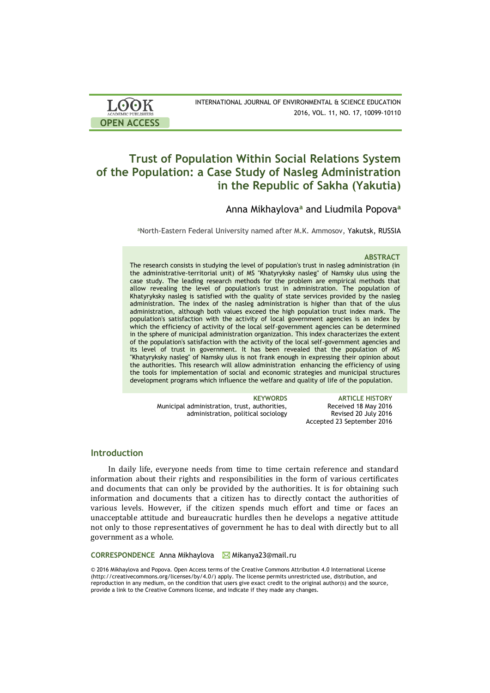| <b>LOOK</b>         | INTERNATIONAL JOURNAL OF ENVIRONMENTAL & SCIENCE EDUCATION |
|---------------------|------------------------------------------------------------|
| ACADEMIC PUBLISHERS | 2016, VOL. 11, NO. 17, 10099-10110                         |
| <b>OPEN ACCESS</b>  |                                                            |

# **Trust of Population Within Social Relations System of the Population: a Case Study of Nasleg Administration in the Republic of Sakha (Yakutia)**

# Anna Mikhaylova**<sup>a</sup>** and Liudmila Popova**<sup>a</sup>**

aNorth-Eastern Federal University named after M.K. Ammosov, Yakutsk, RUSSIA

#### **ABSTRACT**

The research consists in studying the level of population's trust in nasleg administration (in the administrative-territorial unit) of MS "Khatyryksky nasleg" of Namsky ulus using the case study. The leading research methods for the problem are empirical methods that allow revealing the level of population's trust in administration. The population of Khatyryksky nasleg is satisfied with the quality of state services provided by the nasleg administration. The index of the nasleg administration is higher than that of the ulus administration, although both values exceed the high population trust index mark. The population's satisfaction with the activity of local government agencies is an index by which the efficiency of activity of the local self-government agencies can be determined in the sphere of municipal administration organization. This index characterizes the extent of the population's satisfaction with the activity of the local self-government agencies and its level of trust in government. It has been revealed that the population of MS "Khatyryksky nasleg" of Namsky ulus is not frank enough in expressing their opinion about the authorities. This research will allow administration enhancing the efficiency of using the tools for implementation of social and economic strategies and municipal structures development programs which influence the welfare and quality of life of the population.

> Municipal administration, trust, authorities, administration, political sociology

**KEYWORDS ARTICLE HISTORY** Received 18 May 2016 Revised 20 July 2016 Accepted 23 September 2016

## **Introduction**

In daily life, everyone needs from time to time certain reference and standard information about their rights and responsibilities in the form of various certificates and documents that can only be provided by the authorities. It is for obtaining such information and documents that a citizen has to directly contact the authorities of various levels. However, if the citizen spends much effort and time or faces an unacceptable attitude and bureaucratic hurdles then he develops a negative attitude not only to those representatives of government he has to deal with directly but to all government as a whole.

**CORRESPONDENCE** Anna Mikhaylova **Mikanya23**@mail.ru

© 2016 Mikhaylova and Popova. Open Access terms of the Creative Commons Attribution 4.0 International License (http://creativecommons.org/licenses/by/4.0/) apply. The license permits unrestricted use, distribution, and reproduction in any medium, on the condition that users give exact credit to the original author(s) and the source, provide a link to the Creative Commons license, and indicate if they made any changes.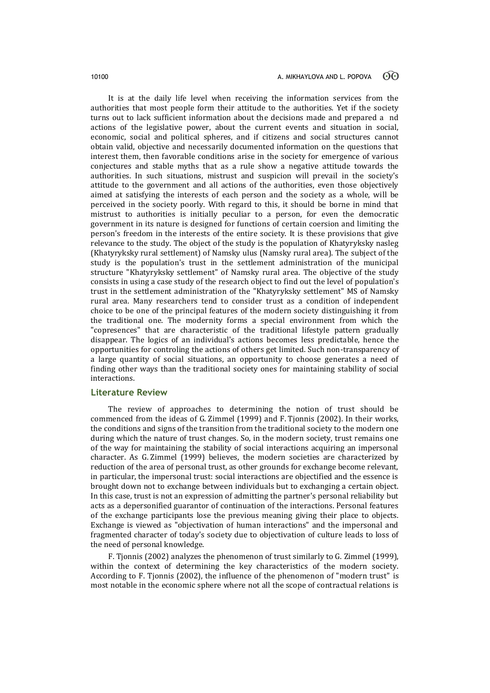It is at the daily life level when receiving the information services from the authorities that most people form their attitude to the authorities. Yet if the society turns out to lack sufficient information about the decisions made and prepared a nd actions of the legislative power, about the current events and situation in social, economic, social and political spheres, and if citizens and social structures cannot obtain valid, objective and necessarily documented information on the questions that interest them, then favorable conditions arise in the society for emergence of various conjectures and stable myths that as a rule show a negative attitude towards the authorities. In such situations, mistrust and suspicion will prevail in the society's attitude to the government and all actions of the authorities, even those objectively aimed at satisfying the interests of each person and the society as a whole, will be perceived in the society poorly. With regard to this, it should be borne in mind that mistrust to authorities is initially peculiar to a person, for even the democratic government in its nature is designed for functions of certain coersion and limiting the person's freedom in the interests of the entire society. It is these provisions that give relevance to the study. The object of the study is the population of Khatyryksky nasleg (Khatyryksky rural settlement) of Namsky ulus (Namsky rural area). The subject of the study is the population's trust in the settlement administration of the municipal structure "Khatyryksky settlement" of Namsky rural area. The objective of the study consists in using a case study of the research object to find out the level of population's trust in the settlement administration of the "Khatyryksky settlement" MS of Namsky rural area. Many researchers tend to consider trust as a condition of independent choice to be one of the principal features of the modern society distinguishing it from the traditional one. The modernity forms a special environment from which the "copresences" that are characteristic of the traditional lifestyle pattern gradually disappear. The logics of an individual's actions becomes less predictable, hence the opportunities for controling the actions of others get limited. Such non-transparency of a large quantity of social situations, an opportunity to choose generates a need of finding other ways than the traditional society ones for maintaining stability of social interactions.

# **Literature Review**

The review of approaches to determining the notion of trust should be commenced from the ideas of G. Zimmel (1999) and F. Tjonnis (2002). In their works, the conditions and signs of the transition from the traditional society to the modern one during which the nature of trust changes. So, in the modern society, trust remains one of the way for maintaining the stability of social interactions acquiring an impersonal character. As G. Zimmel (1999) believes, the modern societies are characterized by reduction of the area of personal trust, as other grounds for exchange become relevant, in particular, the impersonal trust: social interactions are objectified and the essence is brought down not to exchange between individuals but to exchanging a certain object. In this case, trust is not an expression of admitting the partner's personal reliability but acts as a depersonified guarantor of continuation of the interactions. Personal features of the exchange participants lose the previous meaning giving their place to objects. Exchange is viewed as "objectivation of human interactions" and the impersonal and fragmented character of today's society due to objectivation of culture leads to loss of the need of personal knowledge.

F. Tjonnis (2002) analyzes the phenomenon of trust similarly to G. Zimmel (1999), within the context of determining the key characteristics of the modern society. According to F. Tjonnis (2002), the influence of the phenomenon of "modern trust" is most notable in the economic sphere where not all the scope of contractual relations is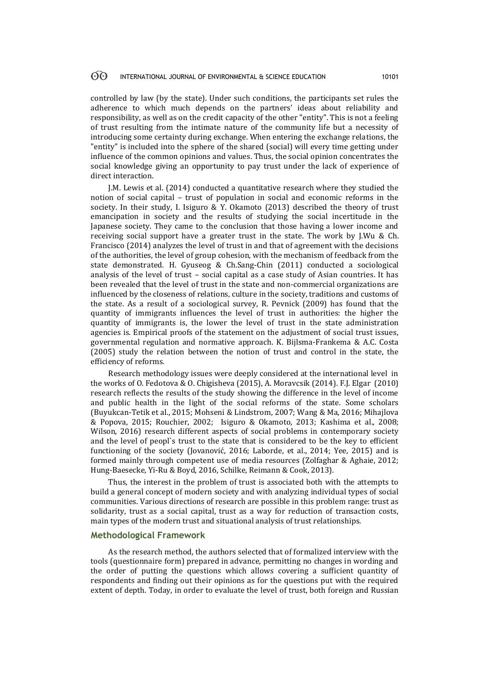controlled by law (by the state). Under such conditions, the participants set rules the adherence to which much depends on the partners' ideas about reliability and responsibility, as well as on the credit capacity of the other "entity". This is not a feeling of trust resulting from the intimate nature of the community life but a necessity of introducing some certainty during exchange. When entering the exchange relations, the "entity" is included into the sphere of the shared (social) will every time getting under influence of the common opinions and values. Thus, the social opinion concentrates the social knowledge giving an opportunity to pay trust under the lack of experience of direct interaction.

J.M. Lewis et al. (2014) conducted a quantitative research where they studied the notion of social capital – trust of population in social and economic reforms in the society. In their study, I. Isiguro & Y. Okamoto (2013) described the theory of trust emancipation in society and the results of studying the social incertitude in the Japanese society. They came to the conclusion that those having a lower income and receiving social support have a greater trust in the state. The work by J.Wu & Ch. Francisco (2014) analyzes the level of trust in and that of agreement with the decisions of the authorities, the level of group cohesion, with the mechanism of feedback from the state demonstrated. H. [Gyuseog](javascript:__doLinkPostBack() & C[h.Sang-Chin](javascript:__doLinkPostBack() (2011) conducted a sociological analysis of the level of trust – social capital as a case study of Asian countries. It has been revealed that the level of trust in the state and non-commercial organizations are influenced by the closeness of relations, culture in the society, traditions and customs of the state. As a result of a sociological survey, R. Pevnick (2009) has found that the quantity of immigrants influences the level of trust in authorities: the higher the quantity of immigrants is, the lower the level of trust in the state administration agencies is. Empirical proofs of the statement on the adjustment of social trust issues, governmental regulation and normative approach. K. Bijlsma-Frankema & A.C. Costa (2005) study the relation between the notion of trust and control in the state, the efficiency of reforms.

Research methodology issues were deeply considered at the international level in the works of O. Fedotova & O. Chigisheva (2015), A. Moravcsik (2014). F.J. [Elgar](javascript:__doLinkPostBack() (2010) research reflects the results of the study showing the difference in the level of income and public health in the light of the social reforms of the state. Some scholars (Buyukcan-Tetik et al., 2015; Mohseni & Lindstrom, 2007; Wang & Ma, 2016; Mihajlova & Popova, 2015; Rouchier, 2002; Isiguro & Okamoto, 2013; Kashima et al., 2008; Wilson, 2016) research different aspects of social problems in contemporary society and the level of peopl`s trust to the state that is considered to be the key to efficient functioning of the society (Jovanović, 2016; Laborde, et al., 2014; Yee, 2015) and is formed mainly through competent use of media resources (Zolfaghar & Aghaie, 2012; Hung-Baesecke, Yi-Ru & Boyd, 2016, Schilke, Reimann & Cook, 2013).

Thus, the interest in the problem of trust is associated both with the attempts to build a general concept of modern society and with analyzing individual types of social communities. Various directions of research are possible in this problem range: trust as solidarity, trust as a social capital, trust as a way for reduction of transaction costs, main types of the modern trust and situational analysis of trust relationships.

### **Methodological Framework**

As the research method, the authors selected that of formalized interview with the tools (questionnaire form) prepared in advance, permitting no changes in wording and the order of putting the questions which allows covering a sufficient quantity of respondents and finding out their opinions as for the questions put with the required extent of depth. Today, in order to evaluate the level of trust, both foreign and Russian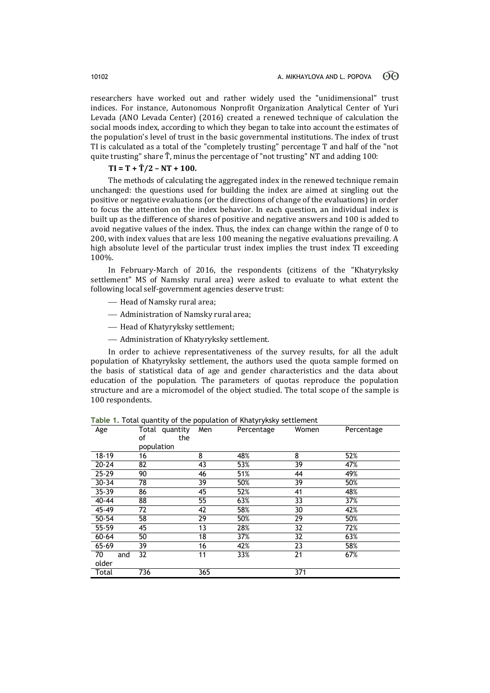researchers have worked out and rather widely used the "unidimensional" trust indices. For instance, Autonomous Nonprofit Organization Analytical Center of Yuri Levada (ANO Levada Center) (2016) created a renewed technique of calculation the social moods index, according to which they began to take into account the estimates of the population's level of trust in the basic governmental institutions. The index of trust TI is calculated as a total of the "completely trusting" percentage T and half of the "not quite trusting" share Ť, minus the percentage of "not trusting" NT and adding 100:

# **TI = T + Ť/2 – NT + 100.**

The methods of calculating the aggregated index in the renewed technique remain unchanged: the questions used for building the index are aimed at singling out the positive or negative evaluations (or the directions of change of the evaluations) in order to focus the attention on the index behavior. In each question, an individual index is built up as the difference of shares of positive and negative answers and 100 is added to avoid negative values of the index. Thus, the index can change within the range of 0 to 200, with index values that are less 100 meaning the negative evaluations prevailing. A high absolute level of the particular trust index implies the trust index TI exceeding 100%.

In February-March of 2016, the respondents (citizens of the "Khatyryksky settlement" MS of Namsky rural area) were asked to evaluate to what extent the following local self-government agencies deserve trust:

- $-$  Head of Namsky rural area;
- Administration of Namsky rural area;
- Head of Khatyryksky settlement;
- Administration of Khatyryksky settlement.

In order to achieve representativeness of the survey results, for all the adult population of Khatyryksky settlement, the authors used the quota sample formed on the basis of statistical data of age and gender characteristics and the data about education of the population. The parameters of quotas reproduce the population structure and are a micromodel of the object studied. The total scope of the sample is 100 respondents.

| Age       | Total quantity Men<br>of<br>the |     | Percentage | Women | Percentage |
|-----------|---------------------------------|-----|------------|-------|------------|
|           | population                      |     |            |       |            |
| 18-19     | 16                              | 8   | 48%        | 8     | 52%        |
| $20 - 24$ | 82                              | 43  | 53%        | 39    | 47%        |
| $25 - 29$ | 90                              | 46  | 51%        | 44    | 49%        |
| $30 - 34$ | 78                              | 39  | 50%        | 39    | 50%        |
| 35-39     | 86                              | 45  | 52%        | 41    | 48%        |
| 40-44     | 88                              | 55  | 63%        | 33    | 37%        |
| $45 - 49$ | 72                              | 42  | 58%        | 30    | 42%        |
| 50-54     | 58                              | 29  | 50%        | 29    | 50%        |
| $55 - 59$ | 45                              | 13  | 28%        | 32    | 72%        |
| $60 - 64$ | 50                              | 18  | 37%        | 32    | 63%        |
| 65-69     | 39                              | 16  | 42%        | 23    | 58%        |
| 70<br>and | 32                              | 11  | 33%        | 21    | 67%        |
| older     |                                 |     |            |       |            |
| Total     | 736                             | 365 |            | 371   |            |

**Table 1.** Total quantity of the population of Khatyryksky settlement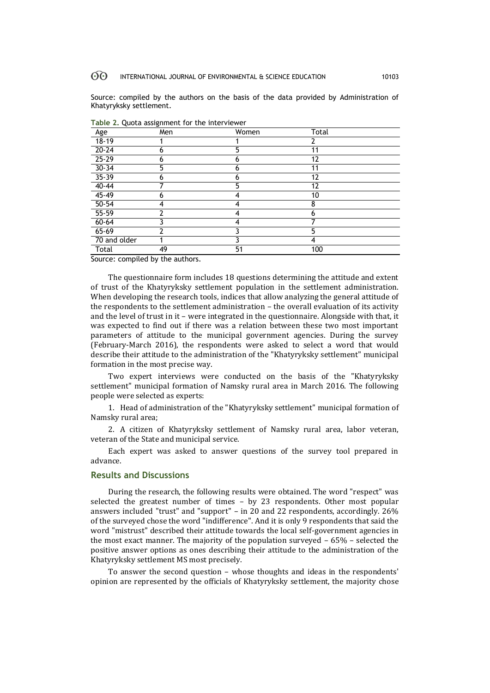Source: compiled by the authors on the basis of the data provided by Administration of Khatyryksky settlement.

| Age               | Men | Women | Total |  |
|-------------------|-----|-------|-------|--|
| $18 - 19$         |     |       | 2     |  |
| $20 - 24$         | n   | 5     | 11    |  |
| $25 - 29$         |     | 6     | 12    |  |
| $30 - 34$         | 5   | 6     | 11    |  |
| $35 - 39$         | h   | 6     | 12    |  |
| $40 - 44$         |     | 5     | 12    |  |
| $45 - 49$         | n   | 4     | 10    |  |
| $50 - 54$         |     |       | 8     |  |
| $55 - 59$         |     | 4     | 6     |  |
| $60 - 64$         |     | 4     |       |  |
| $65 - 69$         |     |       | 5     |  |
| 70 and older      |     |       | 4     |  |
| <b>Total</b><br>. | 49  | 51    | 100   |  |

**Table 2.** Quota assignment for the interviewer

Source: compiled by the authors.

The questionnaire form includes 18 questions determining the attitude and extent of trust of the Khatyryksky settlement population in the settlement administration. When developing the research tools, indices that allow analyzing the general attitude of the respondents to the settlement administration – the overall evaluation of its activity and the level of trust in it – were integrated in the questionnaire. Alongside with that, it was expected to find out if there was a relation between these two most important parameters of attitude to the municipal government agencies. During the survey (February-March 2016), the respondents were asked to select a word that would describe their attitude to the administration of the "Khatyryksky settlement" municipal formation in the most precise way.

Two expert interviews were conducted on the basis of the "Khatyryksky settlement" municipal formation of Namsky rural area in March 2016. The following people were selected as experts:

1. Head of administration of the "Khatyryksky settlement" municipal formation of Namsky rural area;

2. A citizen of Khatyryksky settlement of Namsky rural area, labor veteran, veteran of the State and municipal service.

Each expert was asked to answer questions of the survey tool prepared in advance.

### **Results and Discussions**

During the research, the following results were obtained. The word "respect" was selected the greatest number of times – by 23 respondents. Other most popular answers included "trust" and "support" – in 20 and 22 respondents, accordingly. 26% of the surveyed chose the word "indifference". And it is only 9 respondents that said the word "mistrust" described their attitude towards the local self-government agencies in the most exact manner. The majority of the population surveyed – 65% – selected the positive answer options as ones describing their attitude to the administration of the Khatyryksky settlement MS most precisely.

To answer the second question – whose thoughts and ideas in the respondents' opinion are represented by the officials of Khatyryksky settlement, the majority chose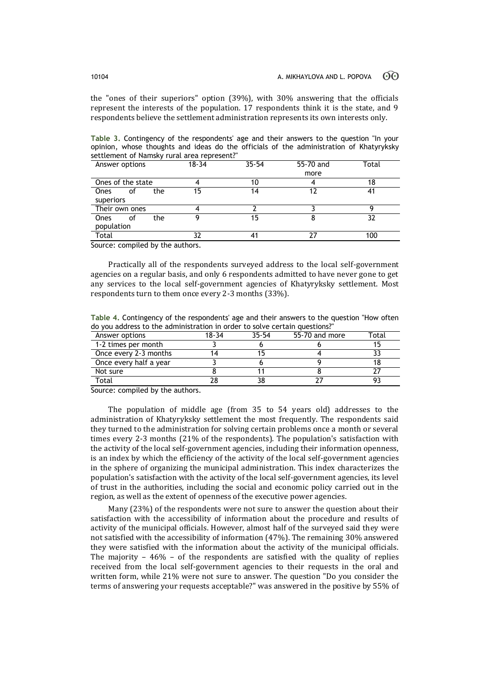the "ones of their superiors" option (39%), with 30% answering that the officials represent the interests of the population. 17 respondents think it is the state, and 9 respondents believe the settlement administration represents its own interests only.

**Table 3.** Contingency of the respondents' age and their answers to the question "In your opinion, whose thoughts and ideas do the officials of the administration of Khatyryksky settlement of Namsky rural area represent?"

| Answer options    |    |     | $18 - 34$ | $35 - 54$ | 55-70 and | Total |
|-------------------|----|-----|-----------|-----------|-----------|-------|
|                   |    |     |           |           | more      |       |
| Ones of the state |    |     |           | 10        |           | 18    |
| Ones              | οt | the | 15        | 14        | 12        | 41    |
| superiors         |    |     |           |           |           |       |
| Their own ones    |    |     |           |           |           |       |
| Ones              | οt | the | о         | 15        |           | 32    |
| population        |    |     |           |           |           |       |
| Total             |    |     |           |           |           | 100   |

Source: compiled by the authors.

Practically all of the respondents surveyed address to the local self-government agencies on a regular basis, and only 6 respondents admitted to have never gone to get any services to the local self-government agencies of Khatyryksky settlement. Most respondents turn to them once every 2-3 months (33%).

**Table 4.** Contingency of the respondents' age and their answers to the question "How often do you address to the administration in order to solve certain questions?"

| Answer options         | 18-34 | 35-54 | 55-70 and more | <sup>-</sup> otal |
|------------------------|-------|-------|----------------|-------------------|
| 1-2 times per month    |       |       |                |                   |
| Once every 2-3 months  |       |       |                |                   |
| Once every half a year |       |       |                |                   |
| Not sure               |       |       |                |                   |
| Total                  |       |       |                |                   |

Source: compiled by the authors.

The population of middle age (from 35 to 54 years old) addresses to the administration of Khatyryksky settlement the most frequently. The respondents said they turned to the administration for solving certain problems once a month or several times every 2-3 months (21% of the respondents). The population's satisfaction with the activity of the local self-government agencies, including their information openness, is an index by which the efficiency of the activity of the local self-government agencies in the sphere of organizing the municipal administration. This index characterizes the population's satisfaction with the activity of the local self-government agencies, its level of trust in the authorities, including the social and economic policy carried out in the region, as well as the extent of openness of the executive power agencies.

Many (23%) of the respondents were not sure to answer the question about their satisfaction with the accessibility of information about the procedure and results of activity of the municipal officials. However, almost half of the surveyed said they were not satisfied with the accessibility of information (47%). The remaining 30% answered they were satisfied with the information about the activity of the municipal officials. The majority  $-46\%$  – of the respondents are satisfied with the quality of replies received from the local self-government agencies to their requests in the oral and written form, while 21% were not sure to answer. The question "Do you consider the terms of answering your requests acceptable?" was answered in the positive by 55% of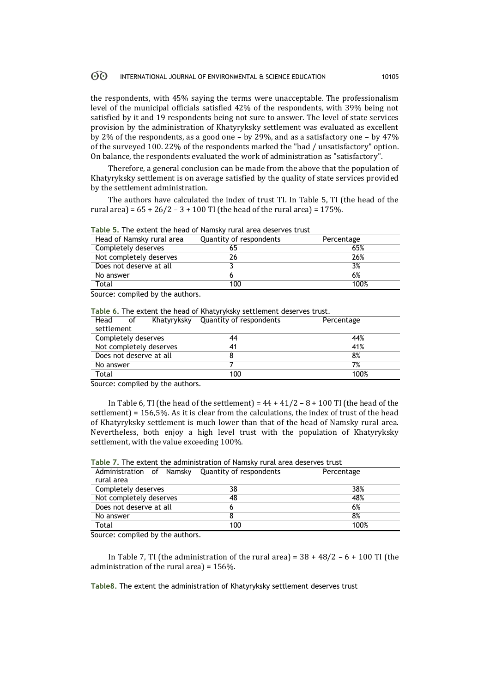the respondents, with 45% saying the terms were unacceptable. The professionalism level of the municipal officials satisfied 42% of the respondents, with 39% being not satisfied by it and 19 respondents being not sure to answer. The level of state services provision by the administration of Khatyryksky settlement was evaluated as excellent by 2% of the respondents, as a good one – by 29%, and as a satisfactory one – by 47% of the surveyed 100. 22% of the respondents marked the "bad / unsatisfactory" option. On balance, the respondents evaluated the work of administration as "satisfactory".

Therefore, a general conclusion can be made from the above that the population of Khatyryksky settlement is on average satisfied by the quality of state services provided by the settlement administration.

The authors have calculated the index of trust TI. In Table 5, TI (the head of the rural area) =  $65 + 26/2 - 3 + 100$  TI (the head of the rural area) = 175%.

| Head of Namsky rural area | Quantity of respondents | Percentage |
|---------------------------|-------------------------|------------|
| Completely deserves       | 65                      | 65%        |
| Not completely deserves   |                         | 26%        |
| Does not deserve at all   |                         | 3%         |
| No answer                 |                         | 6%         |
| Total                     | 100                     | 100%       |

**Table 5.** The extent the head of Namsky rural area deserves trust

Source: compiled by the authors.

**Table 6.** The extent the head of Khatyryksky settlement deserves trust.

| Head                | οf | Khatyryksky             | Quantity of respondents | Percentage |
|---------------------|----|-------------------------|-------------------------|------------|
| settlement          |    |                         |                         |            |
| Completely deserves |    |                         | 44                      | 44%        |
|                     |    | Not completely deserves | 41                      | 41%        |
|                     |    | Does not deserve at all |                         | 8%         |
| No answer           |    |                         |                         | 7%         |
| Total               |    |                         | 100                     | 100%       |
|                     |    |                         |                         |            |

Source: compiled by the authors.

In Table 6, TI (the head of the settlement) =  $44 + 41/2 - 8 + 100$  TI (the head of the settlement) = 156,5%. As it is clear from the calculations, the index of trust of the head of Khatyryksky settlement is much lower than that of the head of Namsky rural area. Nevertheless, both enjoy a high level trust with the population of Khatyryksky settlement, with the value exceeding 100%.

| Table 7, The extent the administration of Nanisky fural area deserves trust |    |            |  |  |  |  |
|-----------------------------------------------------------------------------|----|------------|--|--|--|--|
| Administration of Namsky Quantity of respondents                            |    | Percentage |  |  |  |  |
| rural area                                                                  |    |            |  |  |  |  |
| Completely deserves                                                         | 38 | 38%        |  |  |  |  |
| Not completely deserves                                                     | 48 | 48%        |  |  |  |  |
| Does not deserve at all                                                     |    | 6%         |  |  |  |  |

**Table 7.** The extent the administration of Namsky rural area deserves trust

Source: compiled by the authors.

In Table 7, TI (the administration of the rural area) =  $38 + 48/2 - 6 + 100$  TI (the administration of the rural area) = 156%.

**Table8.** The extent the administration of Khatyryksky settlement deserves trust

No answer 8 8%  $\Gamma$ Otal 100  $\sim$  100  $\sim$  100  $\sim$  100%  $\sim$  100%  $\sim$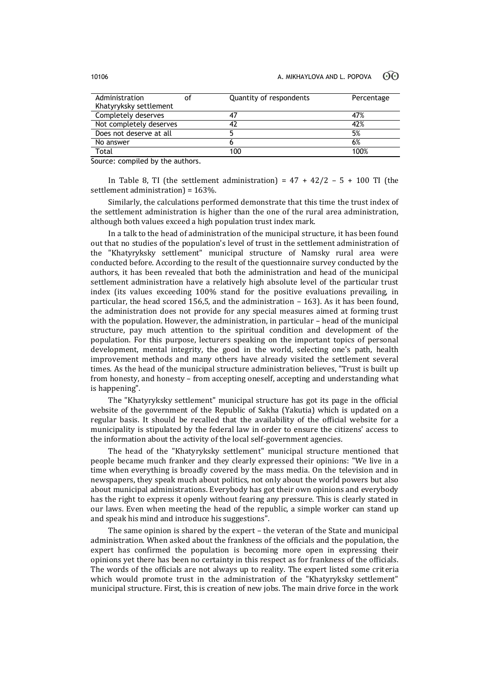| Administration          | οf | Quantity of respondents | Percentage |
|-------------------------|----|-------------------------|------------|
| Khatyryksky settlement  |    |                         |            |
| Completely deserves     |    | 47                      | 47%        |
| Not completely deserves |    | 42                      | 42%        |
| Does not deserve at all |    |                         | 5%         |
| No answer               |    |                         | 6%         |
| Total                   |    | 100                     | 100%       |

Source: compiled by the authors.

In Table 8, TI (the settlement administration) =  $47 + 42/2 - 5 + 100$  TI (the settlement administration) = 163%.

Similarly, the calculations performed demonstrate that this time the trust index of the settlement administration is higher than the one of the rural area administration, although both values exceed a high population trust index mark.

In a talk to the head of administration of the municipal structure, it has been found out that no studies of the population's level of trust in the settlement administration of the "Khatyryksky settlement" municipal structure of Namsky rural area were conducted before. According to the result of the questionnaire survey conducted by the authors, it has been revealed that both the administration and head of the municipal settlement administration have a relatively high absolute level of the particular trust index (its values exceeding 100% stand for the positive evaluations prevailing, in particular, the head scored 156,5, and the administration – 163). As it has been found, the administration does not provide for any special measures aimed at forming trust with the population. However, the administration, in particular – head of the municipal structure, pay much attention to the spiritual condition and development of the population. For this purpose, lecturers speaking on the important topics of personal development, mental integrity, the good in the world, selecting one's path, health improvement methods and many others have already visited the settlement several times. As the head of the municipal structure administration believes, "Trust is built up from honesty, and honesty – from accepting oneself, accepting and understanding what is happening".

The "Khatyryksky settlement" municipal structure has got its page in the official website of the government of the Republic of Sakha (Yakutia) which is updated on a regular basis. It should be recalled that the availability of the official website for a municipality is stipulated by the federal law in order to ensure the citizens' access to the information about the activity of the local self-government agencies.

The head of the "Khatyryksky settlement" municipal structure mentioned that people became much franker and they clearly expressed their opinions: "We live in a time when everything is broadly covered by the mass media. On the television and in newspapers, they speak much about politics, not only about the world powers but also about municipal administrations. Everybody has got their own opinions and everybody has the right to express it openly without fearing any pressure. This is clearly stated in our laws. Even when meeting the head of the republic, a simple worker can stand up and speak his mind and introduce his suggestions".

The same opinion is shared by the expert – the veteran of the State and municipal administration. When asked about the frankness of the officials and the population, the expert has confirmed the population is becoming more open in expressing their opinions yet there has been no certainty in this respect as for frankness of the officials. The words of the officials are not always up to reality. The expert listed some criteria which would promote trust in the administration of the "Khatyryksky settlement" municipal structure. First, this is creation of new jobs. The main drive force in the work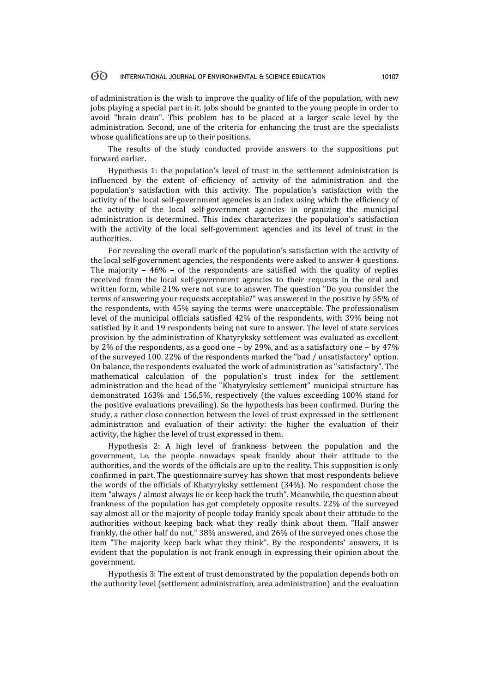of administration is the wish to improve the quality of life of the population, with new jobs playing a special part in it. Jobs should be granted to the young people in order to avoid "brain drain". This problem has to be placed at a larger scale level by the administration. Second, one of the criteria for enhancing the trust are the specialists whose qualifications are up to their positions.

The results of the study conducted provide answers to the suppositions put forward earlier.

Hypothesis 1: the population's level of trust in the settlement administration is influenced by the extent of efficiency of activity of the administration and the population's satisfaction with this activity. The population's satisfaction with the activity of the local self-government agencies is an index using which the efficiency of the activity of the local self-government agencies in organizing the municipal administration is determined. This index characterizes the population's satisfaction with the activity of the local self-government agencies and its level of trust in the authorities.

For revealing the overall mark of the population's satisfaction with the activity of the local self-government agencies, the respondents were asked to answer 4 questions. The majority  $-46\%$  – of the respondents are satisfied with the quality of replies received from the local self-government agencies to their requests in the oral and written form, while 21% were not sure to answer. The question "Do you consider the terms of answering your requests acceptable?" was answered in the positive by 55% of the respondents, with 45% saying the terms were unacceptable. The professionalism level of the municipal officials satisfied 42% of the respondents, with 39% being not satisfied by it and 19 respondents being not sure to answer. The level of state services provision by the administration of Khatyryksky settlement was evaluated as excellent by 2% of the respondents, as a good one – by 29%, and as a satisfactory one – by 47% of the surveyed 100. 22% of the respondents marked the "bad / unsatisfactory" option. On balance, the respondents evaluated the work of administration as "satisfactory". The mathematical calculation of the population's trust index for the settlement administration and the head of the "Khatyryksky settlement" municipal structure has demonstrated 163% and 156,5%, respectively (the values exceeding 100% stand for the positive evaluations prevailing). So the hypothesis has been confirmed. During the study, a rather close connection between the level of trust expressed in the settlement administration and evaluation of their activity: the higher the evaluation of their activity, the higher the level of trust expressed in them.

Hypothesis 2: A high level of frankness between the population and the government, i.e. the people nowadays speak frankly about their attitude to the authorities, and the words of the officials are up to the reality. This supposition is only confirmed in part. The questionnaire survey has shown that most respondents believe the words of the officials of Khatyryksky settlement (34%). No respondent chose the item "always / almost always lie or keep back the truth". Meanwhile, the question about frankness of the population has got completely opposite results. 22% of the surveyed say almost all or the majority of people today frankly speak about their attitude to the authorities without keeping back what they really think about them. "Half answer frankly, the other half do not," 38% answered, and 26% of the surveyed ones chose the item "The majority keep back what they think". By the respondents' answers, it is evident that the population is not frank enough in expressing their opinion about the government.

Hypothesis 3: The extent of trust demonstrated by the population depends both on the authority level (settlement administration, area administration) and the evaluation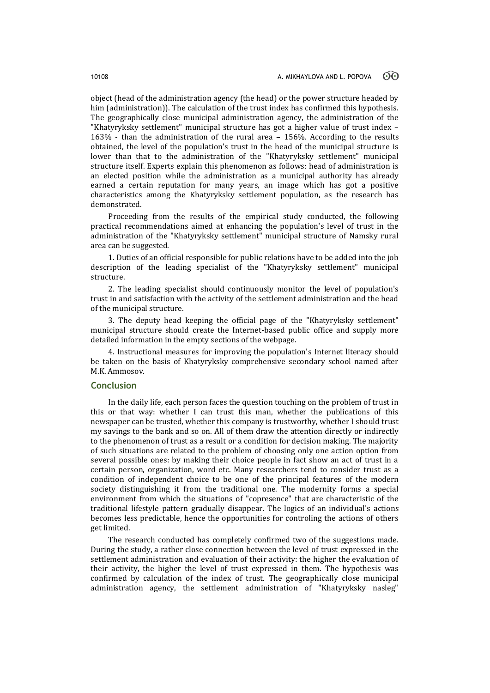object (head of the administration agency (the head) or the power structure headed by him (administration)). The calculation of the trust index has confirmed this hypothesis. The geographically close municipal administration agency, the administration of the "Khatyryksky settlement" municipal structure has got a higher value of trust index – 163% - than the administration of the rural area – 156%. According to the results obtained, the level of the population's trust in the head of the municipal structure is lower than that to the administration of the "Khatyryksky settlement" municipal structure itself. Experts explain this phenomenon as follows: head of administration is an elected position while the administration as a municipal authority has already earned a certain reputation for many years, an image which has got a positive characteristics among the Khatyryksky settlement population, as the research has demonstrated.

Proceeding from the results of the empirical study conducted, the following practical recommendations aimed at enhancing the population's level of trust in the administration of the "Khatyryksky settlement" municipal structure of Namsky rural area can be suggested.

1. Duties of an official responsible for public relations have to be added into the job description of the leading specialist of the "Khatyryksky settlement" municipal structure.

2. The leading specialist should continuously monitor the level of population's trust in and satisfaction with the activity of the settlement administration and the head of the municipal structure.

3. The deputy head keeping the official page of the "Khatyryksky settlement" municipal structure should create the Internet-based public office and supply more detailed information in the empty sections of the webpage.

4. Instructional measures for improving the population's Internet literacy should be taken on the basis of Khatyryksky comprehensive secondary school named after M.K. Ammosov.

## **Conclusion**

In the daily life, each person faces the question touching on the problem of trust in this or that way: whether I can trust this man, whether the publications of this newspaper can be trusted, whether this company is trustworthy, whether I should trust my savings to the bank and so on. All of them draw the attention directly or indirectly to the phenomenon of trust as a result or a condition for decision making. The majority of such situations are related to the problem of choosing only one action option from several possible ones: by making their choice people in fact show an act of trust in a certain person, organization, word etc. Many researchers tend to consider trust as a condition of independent choice to be one of the principal features of the modern society distinguishing it from the traditional one. The modernity forms a special environment from which the situations of "copresence" that are characteristic of the traditional lifestyle pattern gradually disappear. The logics of an individual's actions becomes less predictable, hence the opportunities for controling the actions of others get limited.

The research conducted has completely confirmed two of the suggestions made. During the study, a rather close connection between the level of trust expressed in the settlement administration and evaluation of their activity: the higher the evaluation of their activity, the higher the level of trust expressed in them. The hypothesis was confirmed by calculation of the index of trust. The geographically close municipal administration agency, the settlement administration of "Khatyryksky nasleg"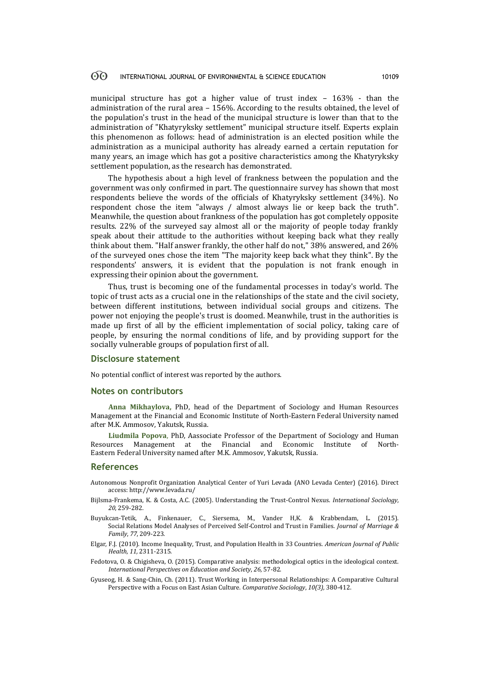municipal structure has got a higher value of trust index – 163% - than the administration of the rural area – 156%. According to the results obtained, the level of the population's trust in the head of the municipal structure is lower than that to the administration of "Khatyryksky settlement" municipal structure itself. Experts explain this phenomenon as follows: head of administration is an elected position while the administration as a municipal authority has already earned a certain reputation for many years, an image which has got a positive characteristics among the Khatyryksky settlement population, as the research has demonstrated.

The hypothesis about a high level of frankness between the population and the government was only confirmed in part. The questionnaire survey has shown that most respondents believe the words of the officials of Khatyryksky settlement (34%). No respondent chose the item "always / almost always lie or keep back the truth". Meanwhile, the question about frankness of the population has got completely opposite results. 22% of the surveyed say almost all or the majority of people today frankly speak about their attitude to the authorities without keeping back what they really think about them. "Half answer frankly, the other half do not," 38% answered, and 26% of the surveyed ones chose the item "The majority keep back what they think". By the respondents' answers, it is evident that the population is not frank enough in expressing their opinion about the government.

Thus, trust is becoming one of the fundamental processes in today's world. The topic of trust acts as a crucial one in the relationships of the state and the civil society, between different institutions, between individual social groups and citizens. The power not enjoying the people's trust is doomed. Meanwhile, trust in the authorities is made up first of all by the efficient implementation of social policy, taking care of people, by ensuring the normal conditions of life, and by providing support for the socially vulnerable groups of population first of all.

### **Disclosure statement**

No potential conflict of interest was reported by the authors.

### **Notes on contributors**

**Anna Mikhaylova,** PhD, head of the Department of Sociology and Human Resources Management at the Financial and Economic Institute of North-Eastern Federal University named after M.K. Ammosov, Yakutsk, Russia.

**Liudmila Popova**, PhD, Aassociate Professor of the Department of Sociology and Human Resources Management at the Financial and Economic Institute of North-Eastern Federal University named after M.K. Ammosov, Yakutsk, Russia.

#### **References**

- Autonomous Nonprofit Organization Analytical Center of Yuri Levada (ANO Levada Center) (2016). Direct access[: http://www.levada.ru/](http://www.levada.ru/)
- Bijlsma-Frankema, K. & Costa, A.C. (2005). Understanding the Trust-Control Nexus. *International Sociology, 20*, 259-282.
- Buyukcan-Tetik, A., Finkenauer, C., Siersema, M., Vander H,K. & Krabbendam, L. (2015). Social Relations Model Analyses of Perceived Self-Control and Trust in Families. *[Journal of Marriage &](javascript:__doLinkPostBack()  [Family](javascript:__doLinkPostBack()*, *77*, 209-223.
- [Elgar, F.J.](javascript:__doLinkPostBack() (2010). Income Inequality, Trust, and Population Health in 33 Countries. *[American Journal of Public](javascript:__doLinkPostBack()  [Health](javascript:__doLinkPostBack()*, *11,* 2311-2315.
- Fedotova, O. & Chigisheva, O. (2015). Comparative analysis: methodological optics in the ideological context. *[International Perspectives on Education and Society](https://www.scopus.com/source/sourceInfo.uri?sourceId=4100151515&origin=recordpage)*, *26*, 57-82.
- [Gyuseog,](javascript:__doLinkPostBack() H. & [Sang-Chin,](javascript:__doLinkPostBack() Ch. (2011). Trust Working in Interpersonal Relationships: A Comparative Cultural Perspective with a Focus on East Asian Culture. *[Comparative Sociology](javascript:__doLinkPostBack()*, *10(3),* 380-412.